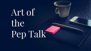# Artof the Pep Talk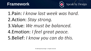

1.Pain: *I know last week was hard.*

2.Action: *Stay strong.*

3.Value: *We must be balanced.*

4.Emotion: *I feel great peace.* 5.Belief: *I know you can do this.*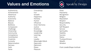## **Values and Emotions**



Authenticity Achievement Adventure Authority Autonomy Balance Beauty Boldness Compassion Challenge Citizenship **Community Competency Contribution Creativity Curiosity** Determination Fairness Faith Fame

Friendships Fun Growth **Happiness** Honesty Humor Influence Inner Harmony **Justice** Kindness Knowledge Leadership Learning Love Loyalty Meaningful Work Openness Optimism Peace Pleasure

Poise Popularity Recognition Religion Reputation Respect Responsibility **Security** Self-Respect Service **Spirituality Stability Success** Status Trustworthiness Wealth Wisdom

*From LeaderShape Institute*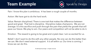#### **Team Example**



Pain: I know this plan is ambitious. It has been a rough couple of months.

Action: We have got to do the hard work.

Value: Remain disciplined. There is one trait that makes the difference between good and great. That trait is discipline. Discipline makes champions. We are not average. It is this sacrifice and push through the pain that yields the growth that will pave our future. We play to win. Our peers and competition will not be able to do it.

Emotion: The reward is going to be great and crystal clear. I am so excited for us.

Belief: I don't want to do this with any other people. No one can do this better than we can. We don't need external support. It is all within us. Our time is coming. I know we can do this.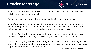#### **Leader Message**



Pain: Business is down. It feels like there is no end to Covid fear. I know we have felt stalled in many of our pursuits.

Action: We must be strong. Strong for each other. Strong for our teams.

Value: Our character is being tested, and we are always steadfast in our integrity. We do the right thing even when no one is watching - even when the media does not notice. We know who we are as leaders and as Company ABC.

Emotion: Your loyalty and compassion for our people is commendable. I am so proud of how you are leading and will lead your teams out of this shadow.

Belief: We are going to be leaders during this pandemic. We are not going to wait around for the world to tell us who we are. We are leaving a legacy around us every day with how we behave with our teams.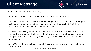### **Client Message**



Pain: I know that meeting was rough.

Action: We need to take a couple of days to research and rebuild.

Value: How we define success is the only thing that matters. Success is finding the best answer within our constraints. We must accept the possibility that there is a better answer and increase our desire to find that.

Emotion: I feel a surge in openness. We learned there are more sides to this than expected, and we need the fullness of that group to continue being as engaged and open with each other. They trust us a great deal to share their perspectives freely like that.

Belief: We are the perfect team to unify this group and empower them to lead the effort forward.